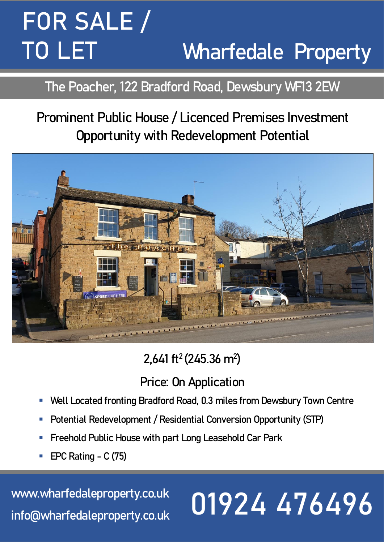## **FOR SALE** / **Wharfedale Property TO LET**

### **The Poacher, 122 Bradford Road, Dewsbury WF13 2EW**

## **Prominent Public House / Licenced Premises Investment Opportunity with Redevelopment Potential**



## **2,641 ft<sup>2</sup>(245.36 m<sup>2</sup> )**

### **Price: On Application**

- Well Located fronting Bradford Road, 0.3 miles from Dewsbury Town Centre
- **Potential Redevelopment / Residential Conversion Opportunity (STP)**
- **Freehold Public House with part Long Leasehold Car Park**
- **EPC Rating - C (75)**

**[www.wharfedaleproperty.co.uk](http://www.wharfedaleproperty.co.uk/) info@wharfedaleproperty.co.uk**

# **01924 476496**